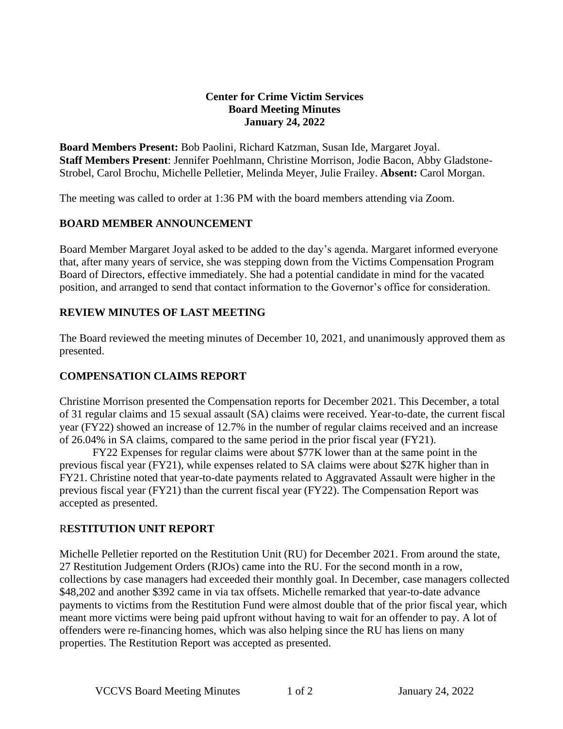#### **Center for Crime Victim Services Board Meeting Minutes January 24, 2022**

**Board Members Present:** Bob Paolini, Richard Katzman, Susan Ide, Margaret Joyal. **Staff Members Present**: Jennifer Poehlmann, Christine Morrison, Jodie Bacon, Abby Gladstone-Strobel, Carol Brochu, Michelle Pelletier, Melinda Meyer, Julie Frailey. **Absent:** Carol Morgan.

The meeting was called to order at 1:36 PM with the board members attending via Zoom.

## **BOARD MEMBER ANNOUNCEMENT**

Board Member Margaret Joyal asked to be added to the day's agenda. Margaret informed everyone that, after many years of service, she was stepping down from the Victims Compensation Program Board of Directors, effective immediately. She had a potential candidate in mind for the vacated position, and arranged to send that contact information to the Governor's office for consideration.

## **REVIEW MINUTES OF LAST MEETING**

The Board reviewed the meeting minutes of December 10, 2021, and unanimously approved them as presented.

## **COMPENSATION CLAIMS REPORT**

Christine Morrison presented the Compensation reports for December 2021. This December, a total of 31 regular claims and 15 sexual assault (SA) claims were received. Year-to-date, the current fiscal year (FY22) showed an increase of 12.7% in the number of regular claims received and an increase of 26.04% in SA claims, compared to the same period in the prior fiscal year (FY21).

FY22 Expenses for regular claims were about \$77K lower than at the same point in the previous fiscal year (FY21), while expenses related to SA claims were about \$27K higher than in FY21. Christine noted that year-to-date payments related to Aggravated Assault were higher in the previous fiscal year (FY21) than the current fiscal year (FY22). The Compensation Report was accepted as presented.

## R**ESTITUTION UNIT REPORT**

Michelle Pelletier reported on the Restitution Unit (RU) for December 2021. From around the state, 27 Restitution Judgement Orders (RJOs) came into the RU. For the second month in a row, collections by case managers had exceeded their monthly goal. In December, case managers collected \$48,202 and another \$392 came in via tax offsets. Michelle remarked that year-to-date advance payments to victims from the Restitution Fund were almost double that of the prior fiscal year, which meant more victims were being paid upfront without having to wait for an offender to pay. A lot of offenders were re-financing homes, which was also helping since the RU has liens on many properties. The Restitution Report was accepted as presented.